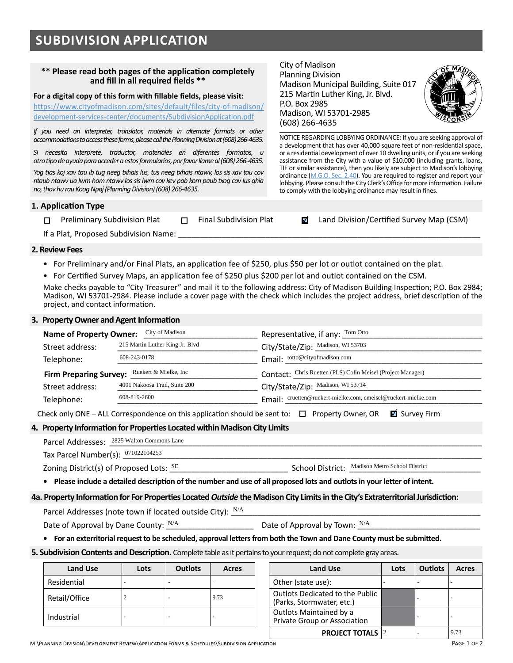### **\*\* Please read both pages of the application completely and fill in all required fields \*\***

**For a digital copy of this form with fillable fields, please visit:** 

[https://www.cityofmadison.com/sites/default/files/city-of-madison/](https://www.cityofmadison.com/sites/default/files/city-of-madison/development-services-center/documents/SubdivisionApplication.pdf) [development-services-center/documents/SubdivisionApplication.pdf](https://www.cityofmadison.com/sites/default/files/city-of-madison/development-services-center/documents/SubdivisionApplication.pdf)

*If you need an interpreter, translator, materials in alternate formats or other accommodations to access these forms, please call the Planning Division at (608) 266-4635.* 

*Si necesita interprete, traductor, materiales en diferentes formatos, u otro tipo de ayuda para acceder a estos formularios, por favor llame al (608) 266-4635.*

*Yog tias koj xav tau ib tug neeg txhais lus, tus neeg txhais ntawv, los sis xav tau cov ntaub ntawv ua lwm hom ntawv los sis lwm cov kev pab kom paub txog cov lus qhia no, thov hu rau Koog Npaj (Planning Division) (608) 266-4635.*

### **1. Application Type**

□ Preliminary Subdivision Plat □ Final Subdivision Plat **z** Land Division/Certified Survey Map (CSM)

NOTICE REGARDING LOBBYING ORDINANCE: If you are seeking approval of a development that has over 40,000 square feet of non-residential space, or a residential development of over 10 dwelling units, or if you are seeking assistance from the City with a value of \$10,000 (including grants, loans, TIF or similar assistance), then you likely are subject to Madison's lobbying ordinance ([M.G.O. Sec. 2.40](https://library.municode.com/wi/madison/codes/code_of_ordinances?nodeId=COORMAWIVOICH1--10_CH2STRUGOCOCO_2.40LORE)). You are required to register and report your lobbying. Please consult the City Clerk's Office for more information. Failure

If a Plat, Proposed Subdivision Name:

#### **2. Review Fees**

- For Preliminary and/or Final Plats, an application fee of \$250, plus \$50 per lot or outlot contained on the plat.
- For Certified Survey Maps, an application fee of \$250 plus \$200 per lot and outlot contained on the CSM.

Make checks payable to "City Treasurer" and mail it to the following address: City of Madison Building Inspection; P.O. Box 2984; Madison, WI 53701-2984. Please include a cover page with the check which includes the project address, brief description of the project, and contact information.

City of Madison Planning Division

P.O. Box 2985

(608) 266-4635

Madison, WI 53701-2985

Madison Municipal Building, Suite 017 215 Martin Luther King, Jr. Blvd.

to comply with the lobbying ordinance may result in fines.

#### **3. Property Owner and Agent Information**

| City of Madison<br><b>Name of Property Owner:</b>      | Representative, if any: $\frac{\text{Tom Otto}}{\text{Otto}}$  |
|--------------------------------------------------------|----------------------------------------------------------------|
| 215 Martin Luther King Jr. Blvd                        | City/State/Zip: Madison, WI 53703                              |
| 608-243-0178                                           | Email: totto@cityofmadison.com                                 |
| Ruekert & Mielke, Inc<br><b>Firm Preparing Survey:</b> | Contact: Chris Ruetten (PLS) Colin Meisel (Project Manager)    |
| 4001 Nakoosa Trail, Suite 200                          | City/State/Zip: Madison, WI 53714                              |
| 608-819-2600                                           | Email: cruetten@ruekert-mielke.com, cmeisel@ruekert-mielke.com |
|                                                        |                                                                |

## **4. Property Information for Properties Located within Madison City Limits**

| Telephone:                                 | 608-819-2600                                                                                                                   | Email: cruetten@ruekert-mielke.com, cmeisel@ruekert-mielke.com |  |                                 |  |                                                |  |  |  |
|--------------------------------------------|--------------------------------------------------------------------------------------------------------------------------------|----------------------------------------------------------------|--|---------------------------------|--|------------------------------------------------|--|--|--|
|                                            | Check only ONE – ALL Correspondence on this application should be sent to: $\Box$ Property Owner, OR                           |                                                                |  |                                 |  | Survey Firm                                    |  |  |  |
|                                            | Property Information for Properties Located within Madison City Limits                                                         |                                                                |  |                                 |  |                                                |  |  |  |
| Parcel Addresses: 2825 Walton Commons Lane |                                                                                                                                |                                                                |  |                                 |  |                                                |  |  |  |
| Tax Parcel Number(s): $071022104253$       |                                                                                                                                |                                                                |  |                                 |  |                                                |  |  |  |
|                                            | Zoning District(s) of Proposed Lots: SE                                                                                        |                                                                |  |                                 |  | School District: Madison Metro School District |  |  |  |
|                                            | • Please include a detailed description of the number and use of all proposed lots and outlots in your letter of intent.       |                                                                |  |                                 |  |                                                |  |  |  |
|                                            | . Property Information for For Properties Located Outside the Madison City Limits in the City's Extraterritorial Jurisdiction: |                                                                |  |                                 |  |                                                |  |  |  |
|                                            | Parcel Addresses (note town if located outside City): N/A                                                                      |                                                                |  |                                 |  |                                                |  |  |  |
| Date of Annroval by Dane County: $N/A$     |                                                                                                                                |                                                                |  | Date of Annroval by Town: $N/A$ |  |                                                |  |  |  |

#### **4a. Property Information for For Properties Located** *Outside* **the Madison City Limits in the City's Extraterritorial Jurisdiction:**

Date of Approval by Dane County:  $\frac{N/A}{A}$  Date of Approval by Town:  $^{N/A}$ 

**• For an exterritorial request to be scheduled, approval letters from both the Town and Dane County must be submitted.**

#### **5. Subdivision Contents and Description.** Complete table as it pertains to your request; do not complete gray areas.

| <b>Land Use</b> | Lots | <b>Outlots</b> | Acres | <b>Land Use</b>                                                     |
|-----------------|------|----------------|-------|---------------------------------------------------------------------|
| Residential     |      |                |       | Other (state use):                                                  |
| Retail/Office   |      |                | 9.73  | <b>Outlots Dedicated to the Public</b><br>(Parks, Stormwater, etc.) |
| Industrial      |      |                |       | Outlots Maintained by a<br>Private Group or Association             |

| Land Use | Lots | <b>Outlots</b> | Acres | <b>Land Use</b>                                              |  | <b>Outlots</b> | Acres |
|----------|------|----------------|-------|--------------------------------------------------------------|--|----------------|-------|
| ential   |      |                |       | Other (state use):                                           |  |                |       |
| /Office  |      |                | 9.73  | Outlots Dedicated to the Public<br>(Parks, Stormwater, etc.) |  |                |       |
| trial    |      |                |       | Outlots Maintained by a<br>Private Group or Association      |  |                |       |
|          |      |                |       | <b>PROJECT TOTALS 2</b>                                      |  |                | 9.73  |